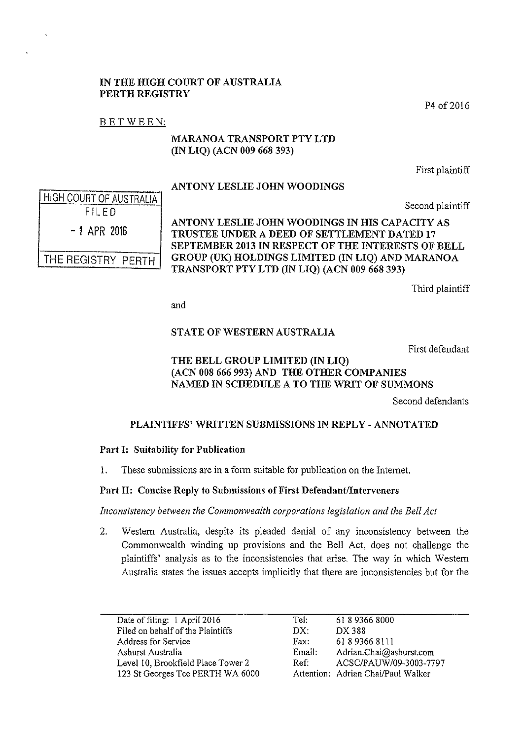#### IN THE HIGH COURT OF AUSTRALIA PERTH REGISTRY

P4 of 2016

## BETWEEN:

### MARANOA TRANSPORT PTY LTD (IN LIQ) (ACN 009 668 393)

First plaintiff

## ANTONY LESLIE JOHN WOODINGS

Second plaintiff

HIGH COURT OF AUSTRALIA FILED - 1 APR 2016 THE REGISTRY PERTH

ANTONY LESLIE JOHN WOODINGS IN HIS CAPACITY AS TRUSTEE UNDER A DEED OF SETTLEMENT DATED 17 SEPTEMBER 2013 IN RESPECT OF THE INTERESTS OF BELL GROUP (UK) HOLDINGS LIMITED (IN LIQ) AND MARANOA TRANSPORT PTY LTD (IN LIQ) (ACN 009 668 393)

Third plaintiff

and

# STATE OF WESTERN AUSTRALIA

First defendant

# THE BELL GROUP LIMITED (IN LIQ) (ACN 008 666 993) AND THE OTHER COMPANIES NAMED IN SCHEDULE A TO THE WRIT OF SUMMONS

Second defendants

### PLAINTIFFS' WRITTEN SUBMISSIONS IN REPLY- ANNOTATED

### Part I: Suitability for Publication

I. These submissions are in a form suitable for publication on the Internet.

# Part II: Concise Reply to Submissions of First Defendant/Interveners

*Inconsistency between the Commonwealth corporations legislation and the Bell Act* 

2. Western Australia, despite its pleaded denial of any inconsistency between the Commonwealth winding up provisions and the Bell Act, does not challenge the plaintiffs' analysis as to the inconsistencies that arise. The way in which Western Australia states the issues accepts implicitly that there are inconsistencies but for the

| Date of filing: 1 April 2016       | Tel:   | 61893668000                        |
|------------------------------------|--------|------------------------------------|
| Filed on behalf of the Plaintiffs  | DX:    | DX 388                             |
| Address for Service                | Fax:   | 61893668111                        |
| Ashurst Australia                  | Email: | Adrian.Chai@ashurst.com            |
| Level 10, Brookfield Place Tower 2 | Ref:   | ACSC/PAUW/09-3003-7797             |
| 123 St Georges Tce PERTH WA 6000   |        | Attention: Adrian Chai/Paul Walker |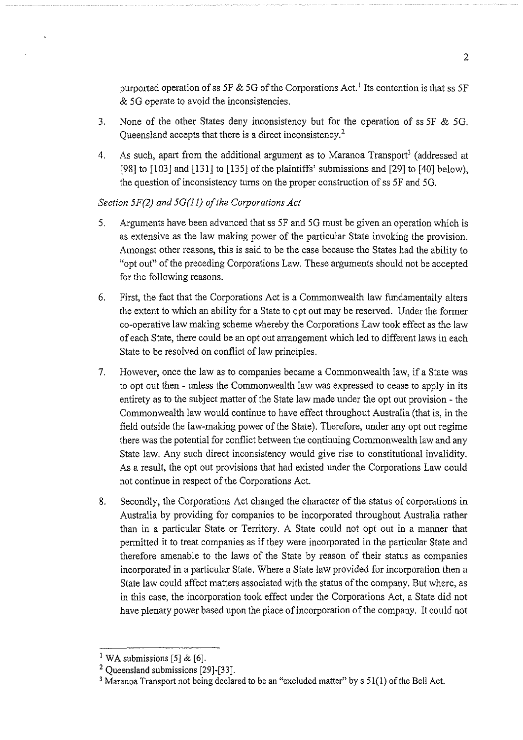purported operation of ss *SF* & *SG* of the Corporations Act. 1 Its contention is that ss *SF*  & *SG* operate to avoid the inconsistencies.

- 3. None of the other States deny inconsistency but for the operation of ss SF & SG. Queensland accepts that there is a direct inconsistency.<sup>2</sup>
- 4. As such, apart from the additional argument as to Maranoa Transport<sup>3</sup> (addressed at [98] to [103] and [131] to [135] of the plaintiffs' submissions and [29] to [40] below), the question of inconsistency turns on the proper construction of ss *SF* and *SG.*

### *Section 5F(2) and 5G(Jl) of the Corporations Act*

- S. Arguments have been advanced that ss SF and 5G must be given an operation which is as extensive as the law making power of the particular State invoking the provision. Amongst other reasons, this is said to be the case because the States had the ability to "opt out" of the preceding Corporations Law. These arguments should not be accepted for the following reasons.
- 6. First, the fact that the Corporations Act is a Commonwealth law fundamentally alters the extent to which an ability for a State to opt out may be reserved. Under the former co-operative law making scheme whereby the Corporations Law took effect as the law of each State, there could be an opt out arrangement which led to different laws in each State to be resolved on conflict of law principles.
- 7. However, once the law as to companies became a Commonwealth law, if a State was to opt out then- unless the Commonwealth law was expressed to cease to apply in its entirety as to the subject matter of the State law made under the opt out provision- the Commonwealth law would continue to have effect throughout Australia (that is, in the field outside the law-making power of the State). Therefore, under any opt out regime there was the potential for conflict between the continuing Commonwealth law and any State law. Any such direct inconsistency would give rise to constitutional invalidity. As a result, the opt out provisions that had existed under the Corporations Law could not continue in respect of the Corporations Act.
- 8. Secondly, the Corporations Act changed the character of the status of corporations in Australia by providing for companies to be incorporated throughout Australia rather than in a particular State or Territory. A State could not opt out in a manner that permitted it to treat companies as if they were incorporated in the particular State and therefore amenable to the laws of the State by reason of their status as companies incorporated in a particular State. Where a State law provided for incorporation then a State law could affect matters associated with the status of the company. But where, as in this case, the incorporation took effect under the Corporations Act, a State did not have plenary power based upon the place of incorporation of the company. It could not

<sup>&</sup>lt;sup>1</sup> WA submissions [5] & [6].

<sup>2</sup> Queensland submissions [29]-[33].

<sup>&</sup>lt;sup>3</sup> Maranoa Transport not being declared to be an "excluded matter" by s 51(1) of the Bell Act.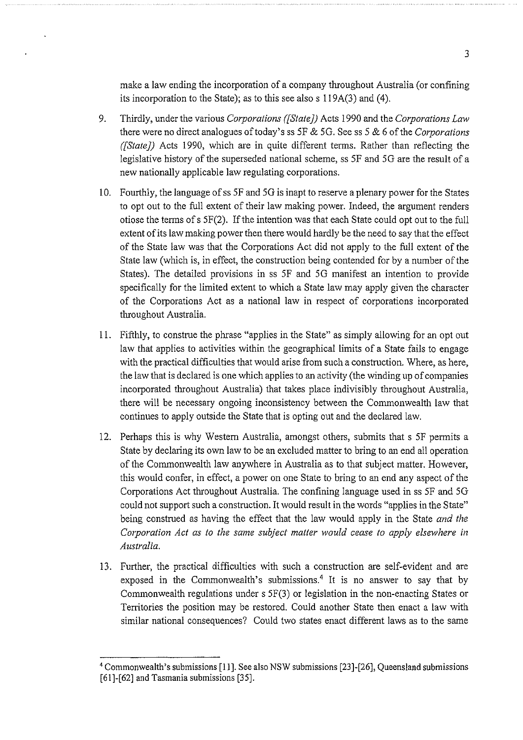make a law ending the incorporation of a company throughout Australia (or confining its incorporation to the State); as to this see also s 119A(3) and (4).

- 9. Thirdly, under the various *Corporations ([State})* Acts 1990 and the *Corporations Law*  there were no direct analogues of today's ss 5F & 5G. See ss 5 & 6 of the *Corporations ([State])* Acts 1990, which are in quite different terms. Rather than reflecting the legislative history of the superseded national scheme, ss 5F and 5G are the result of a new nationally applicable law regulating corporations.
- 10. Fourthly, the language of ss 5F and 5G is inapt to reserve a plenary power for the States to opt out to the full extent of their law making power. Indeed, the argument renders otiose the terms ofs 5F(2). If the intention was that each State could opt out to the full extent of its law making power then there would hardly be the need to say that the effect of the State law was that the Corporations Act did not apply to the full extent of the State law (which is, in effect, the construction being contended for by a number of the States). The detailed provisions in ss 5F and 5G manifest an intention to provide specifically for the limited extent to which a State law may apply given the character of the Corporations Act as a national law in respect of corporations incorporated throughout Australia.
- 11. Fifthly, to construe the phrase "applies in the State" as simply allowing for an opt out law that applies to activities within the geographical limits of a State fails to engage with the practical difficulties that would arise from such a construction. Where, as here, the law that is declared is one which applies to an activity (the winding up of companies incorporated throughout Australia) that takes place indivisibly throughout Australia, there will be necessary ongoing inconsistency between the Commonwealth law that continues to apply outside the State that is opting out and the declared law.
- 12. Perhaps this is why Western Australia, amongst others, submits that s 5F permits a State by declaring its own law to be an excluded matter to bring to an end all operation of the Commonwealth law anywhere in Australia as to that subject matter. However, this would confer, in effect, a power on one State to bring to an end any aspect of the Corporations Act throughout Australia. The confining language used in ss 5F and 5G could not support such a construction. It would result in the words "applies in the State" being construed as having the effect that the law would apply in the State *and the C01poration Act as to the same subject matter would cease to apply elsewhere in Australia.*
- 13. Further, the practical difficulties with such a construction are self-evident and are exposed in the Commonwealth's submissions.<sup>4</sup> It is no answer to say that by Commonwealth regulations under s 5F(3) or legislation in the non-enacting States or Territories the position may be restored. Could another State then enact a law with similar national consequences? Could two states enact different laws as to the same

<sup>4</sup> Commonwealth's submissions [11]. See also NSW submissions [23]-[26], Queensland submissions [61]-[62] and Tasmania submissions [35].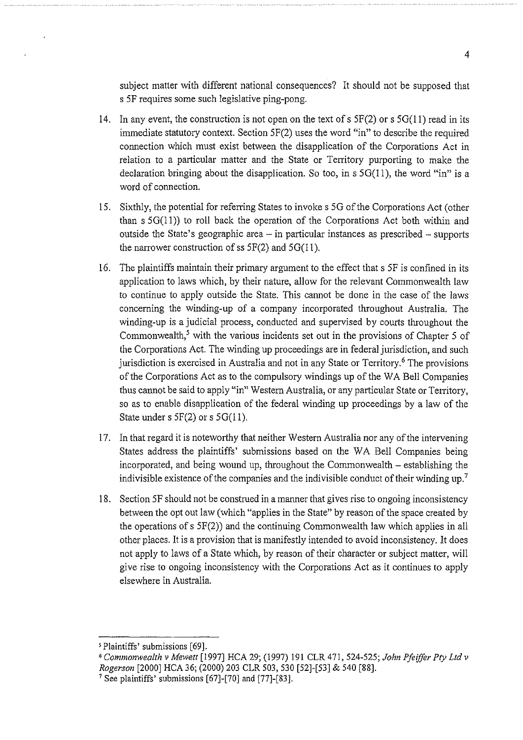subject matter with different national consequences? It should not be supposed that s *SF* requires some such legislative ping-pong.

- 14. In any event, the construction is not open on the text of s  $5F(2)$  or s  $5G(11)$  read in its immediate statutory context. Section SF(2) uses the word "in" to describe the required connection which must exist between the disapplication of the Corporations Act in relation to a particular matter and the State or Territory purporting to make the declaration bringing about the disapplication. So too, in s 5G(11), the word "in" is a word of connection.
- 15. Sixthly, the potential for referring States to invoke s 5G of the Corporations Act (other than  $s$  5G(11)) to roll back the operation of the Corporations Act both within and outside the State's geographic area  $-$  in particular instances as prescribed  $-$  supports the narrower construction of ss  $5F(2)$  and  $5G(11)$ .
- 16. The plaintiffs maintain their primary argument to the effect that s *SF* is confined in its application to laws which, by their nature, allow for the relevant Commonwealth law to continue to apply outside the State. This cannot be done in the case of the laws concerning the winding-up of a company incorporated throughout Australia. The winding-up is a judicial process, conducted and supervised by courts throughout the Commonwealth,<sup>5</sup> with the various incidents set out in the provisions of Chapter 5 of the Corporations Act. The winding up proceedings are in federal jurisdiction, and such jurisdiction is exercised in Australia and not in any State or Territory.<sup>6</sup> The provisions of the Corporations Act as to the compulsory windings up of the W A Bell Companies thus cannot be said to apply "in" Western Australia, or any particular State or Territory, so as to enable disapplication of the federal winding up proceedings by a law of the State under s  $5F(2)$  or s  $5G(11)$ .
- 17. In that regard it is noteworthy that neither Western Australia nor any of the intervening States address the plaintiffs' submissions based on the WA Bell Companies being incorporated, and being wound up, throughout the Commonwealth  $-$  establishing the indivisible existence of the companies and the indivisible conduct of their winding up.7
- 18. Section *SF* should not be construed in a manner that gives rise to ongoing inconsistency between the opt out law (which "applies in the State" by reason of the space created by the operations of s SF(2)) and the continuing Commonwealth law which applies in all other places. It is a provision that is manifestly intended to avoid inconsistency. It does not apply to laws of a State which, by reason of their character or subject matter, will give rise to ongoing inconsistency with the Corporations Act as it continues to apply elsewhere in Australia.

<sup>&#</sup>x27;Plaintiffs' submissions [69].

*<sup>6</sup> Commonwealth v Mewett* [1997] HCA 29; (1997) 191 CLR 471, 524-525; *John Pfei.ffer Pty Ltd v Rogerson* [2000] HCA 36; (2000) 203 CLR 503, 530 [52]-[53] & 540 [88].

<sup>&</sup>lt;sup>7</sup> See plaintiffs' submissions  $[67]$ - $[70]$  and  $[77]$ - $[83]$ .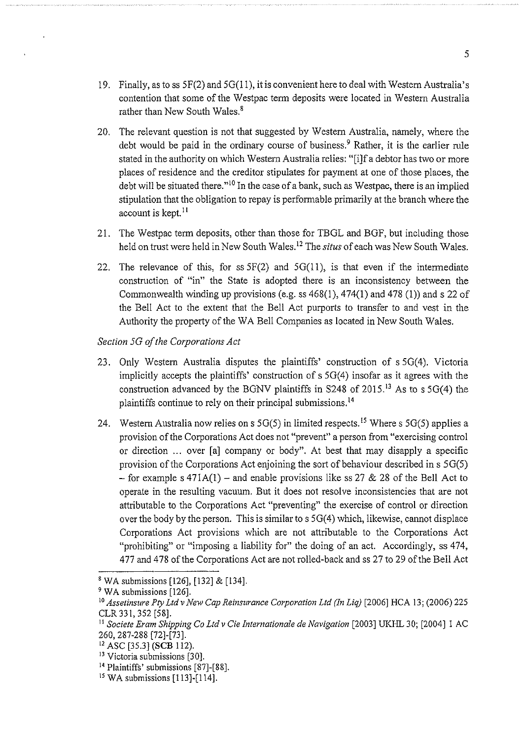- 19. Finally, as to ss 5F(2) and 5G(ll), it is convenient here to deal with Western Australia's contention that some of the Westpac term deposits were located in Western Australia rather than New South Wales.<sup>8</sup>
- 20. The relevant question is not that suggested by Western Australia, namely, where the debt would be paid in the ordinary course of business.<sup>9</sup> Rather, it is the earlier rule stated in the authority on which Western Australia relies: "[i]f a debtor has two or more places of residence and the creditor stipulates for payment at one of those places, the debt will be situated there."<sup>10</sup> In the case of a bank, such as Westpac, there is an implied stipulation that the obligation to repay is performable primarily at the branch where the account is kept. $^{11}$
- 21. The Westpac term deposits, other than those for TBGL and BGF, but including those held on tmst were held in New South Wales. 12 The *situs* of each was New South Wales.
- 22. The relevance of this, for ss  $5F(2)$  and  $5G(11)$ , is that even if the intermediate construction of "in" the State is adopted there is an inconsistency between the Commonwealth winding up provisions (e.g. ss  $468(1)$ ,  $474(1)$  and  $478(1)$ ) and s 22 of the Bell Act to the extent that the Bell Act purports to transfer to and vest in the Authority the property of the WA Bell Companies as located in New South Wales.

### *Section 5G of the Corporations Act*

- 23. Only Western Australia disputes the plaintiffs' construction of s 5G(4). Victoria implicitly accepts the plaintiffs' construction of s 5G(4) insofar as it agrees with the construction advanced by the BGNV plaintiffs in S248 of 2015.<sup>13</sup> As to s 5G(4) the plaintiffs continue to rely on their principal submissions. <sup>14</sup>
- 24. Western Australia now relies on s  $5G(5)$  in limited respects.<sup>15</sup> Where s  $5G(5)$  applies a provision of the Corporations Act does not "prevent" a person from "exercising control or direction ... over [a] company or body". At best that may disapply a specific provision of the Corporations Act enjoining the sort of behaviour described in  $s$  5G(5) - for example s  $471A(1)$  - and enable provisions like ss 27 & 28 of the Bell Act to operate in the resulting vacuum. But it does not resolve inconsistencies that are not attributable to the Corporations Act "preventing" the exercise of control or direction over the body by the person. This is similar to s 5G(4) which, likewise, cannot displace Corporations Act provisions which are not attributable to the Corporations Act "prohibiting" or "imposing a liability for" the doing of an act. Accordingly, ss 474, 477 and 478 of the Corporations Act are not rolled-back and ss 27 to 29 of the Bell Act

<sup>8</sup> WA submissions [126], [132] & [134].

<sup>&</sup>lt;sup>9</sup> WA submissions [126].

<sup>&</sup>lt;sup>10</sup> Assetinsure Pty Ltd v New Cap Reinsurance Corporation Ltd (In Liq) [2006] HCA 13; (2006) 225 CLR 331, 352 [58].

<sup>&</sup>lt;sup>11</sup> Societe Eram Shipping Co Ltd v Cie Internationale de Navigation [2003] UKHL 30; [2004] 1 AC 260, 287-288 [72]-[73].

<sup>12</sup> ASC [35.3] **(SCB** 112).

<sup>&</sup>lt;sup>13</sup> Victoria submissions [30].

<sup>&</sup>lt;sup>14</sup> Plaintiffs' submissions [87]-[88].

 $15$  WA submissions [113]-[114].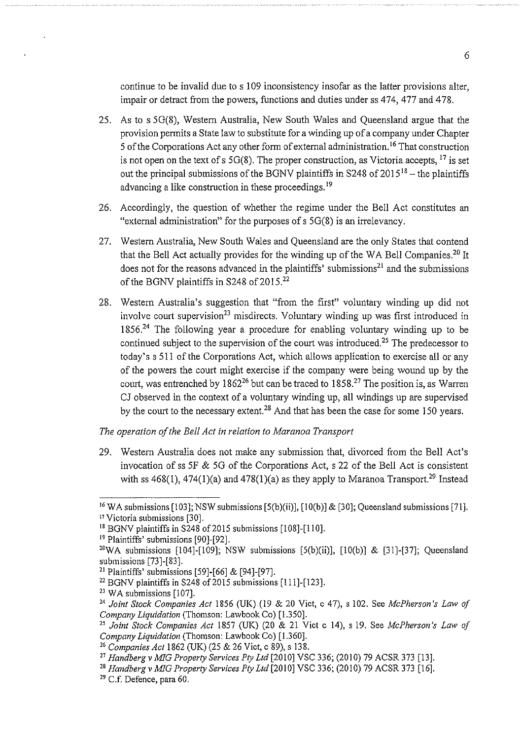continue to be invalid due to s I 09 inconsistency insofar as tbe latter provisions alter, impair or detract from the powers, functions and duties under ss 474, 477 and 478.

- 25. As to s 5G(8), Western Australia, New South Wales and Queensland argue that the provision permits a State law to substitute for a winding up of a company under Chapter 5 of the Corporations Act any other form of external administration.<sup>16</sup> That construction is not open on the text of s 5G(8). The proper construction, as Victoria accepts,  $^{17}$  is set out the principal submissions of the BGNV plaintiffs in S248 of  $2015^{18}$  – the plaintiffs advancing a like construction in these proceedings.<sup>19</sup>
- 26. Accordingly, the question of whether the regime under the Bell Act constitutes an "external administration" for the purposes of s 5G(8) is an irrelevancy.
- 27. Western Australia, New South Wales and Queensland are the only States that contend that the Bell Act actually provides for the winding up of the WA Bell Companies.<sup>20</sup> It does not for the reasons advanced in the plaintiffs' submissions<sup>21</sup> and the submissions of the BGNV plaintiffs in S248 of  $2015$ <sup>22</sup>
- 28. Western Australia's suggestion that "from tbe first" voluntary winding up did not involve court supervision<sup>23</sup> misdirects. Voluntary winding up was first introduced in  $1856<sup>24</sup>$  The following year a procedure for enabling voluntary winding up to be continued subject to the supervision of the court was introduced.<sup>25</sup> The predecessor to today's s 511 of the Corporations Act, which allows application to exercise all or any of the powers the court might exercise if the company were being wound up by the court, was entrenched by  $1862^{26}$  but can be traced to  $1858<sup>27</sup>$  The position is, as Warren CJ observed in the context of a voluntary winding up, all windings up are supervised by the court to the necessary extent.<sup>28</sup> And that has been the case for some 150 years.

#### *The operation of the Bell Act in relation to Maranoa Transport*

29. Western Australia does not make any submission that, divorced from the Bell Act's invocation of ss 5F & 5G of the Corporations Act, s 22 of the Bell Act is consistent with ss  $468(1)$ ,  $474(1)(a)$  and  $478(1)(a)$  as they apply to Maranoa Transport.<sup>29</sup> Instead

<sup>&</sup>lt;sup>16</sup> WA submissions [103]; NSW submissions [5(b)(ii)], [10(b)] & [30]; Queensland submissions [71].<br><sup>17</sup> Victoria submissions [30].

<sup>&</sup>lt;sup>18</sup> BGNV plaintiffs in S248 of 2015 submissions [108]-[110].

<sup>&</sup>lt;sup>19</sup> Plaintiffs' submissions [90]-[92].

<sup>&</sup>lt;sup>20</sup>WA submissions [104]-[109]; NSW submissions [5(b)(ii)], [10(b)] & [31]-[37]; Queensland submissions [73]-[83].

<sup>21</sup> Plaintiffs' submissions (59]-[66] & [94]-[97].

 $^{22}$  BGNV plaintiffs in S248 of 2015 submissions [111]-[123].

<sup>&</sup>lt;sup>23</sup> WA submissions [107].

<sup>&</sup>lt;sup>24</sup> Joint Stock Companies Act 1856 (UK) (19 & 20 Vict, c 47), s 102. See *McPherson's Law of* Company Liquidation (Thomson: Lawbook Co) [1.350].

<sup>&</sup>lt;sup>25</sup> Joint Stock Companies Act 1857 (UK) (20 & 21 Vict c 14), s 19. See *McPherson's Law of Company Liquidation* (Thomson: Lawbook Co) (1.360].

<sup>26</sup>*Companies Act* 1862 (UK) (25 & 26 Vict, c 89), s 138.

<sup>27</sup>*Handbergv MIG Property Services Pty Ltd* [2010] VSC 336; (2010) 79 ACSR 373 [13].

<sup>28</sup>*Handberg v MIG Property Services Pty Ltd* (2010] VSC 336; (2010) 79 ACSR 373 [16].

<sup>29</sup> C.f. Defence, para 60.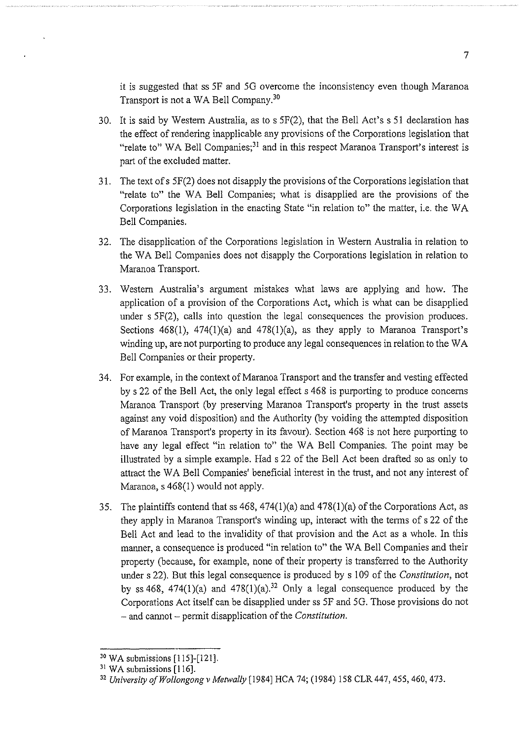it is suggested that ss *SF* and 50 overcome the inconsistency even though Maranoa Transport is not a WA Bell Company.<sup>30</sup>

- 30. It is said by Westem Australia, as to s 5F(2), that the Bell Act's s 51 declaration has the effect of rendering inapplicable any provisions of the Corporations legislation that "relate to" WA Bell Companies;<sup>31</sup> and in this respect Maranoa Transport's interest is part of the excluded matter.
- 31. The text of s 5F(2) does not disapply the provisions of the Corporations legislation that "relate to" the WA Bell Companies; what is disapplied are the provisions of the Corporations legislation in the enacting State "in relation to" the matter, i.e. the W A Bell Companies.
- 32. The disapplication of the Corporations legislation in Western Australia in relation to the WA Bell Companies does not disapply the Corporations legislation in relation to Maranoa Transport.
- 33. Westem Australia's argument mistakes what laws are applying and how. The application of a provision of the Corporations Act, which is what can be disapplied under s 5F(2), calls into question the legal consequences the provision produces. Sections  $468(1)$ ,  $474(1)(a)$  and  $478(1)(a)$ , as they apply to Maranoa Transport's winding up, are not purporting to produce any legal consequences in relation to the W A Bell Companies or their property.
- 34. For example, in the context of Maranoa Transport and the transfer and vesting effected by s 22 of the Bell Act, the only legal effect s 468 is purporting to produce concerns Maranoa Transport (by preserving Maranoa Transport's property in the trust assets against any void disposition) and the Authority (by voiding the attempted disposition of Maranoa Transport's property in its favour). Section 468 is not here purporting to have any legal effect "in relation to" the WA Bell Companies. The point may be illustrated by a simple example. Had s 22 of the Bell Act been drafted so as only to attract the WA Bell Companies' beneficial interest in the trust, and not any interest of Maranoa, s 468(1) would not apply.
- 35. The plaintiffs contend that ss  $468$ ,  $474(1)(a)$  and  $478(1)(a)$  of the Corporations Act, as they apply in Maranoa Transport's winding up, interact with the terms of s 22 of the Bell Act and lead to the invalidity of that provision and the Act as a whole. In this manner, a consequence is produced "in relation to" the WA Bell Companies and their property (because, for example, none of their property is transferred to the Authority under s 22). But this legal consequence is produced by s 109 of the *Constitution,* not by ss 468, 474(1)(a) and 478(1)(a).<sup>32</sup> Only a legal consequence produced by the Corporations Act itself can be disapplied under ss 5F and 50. Those provisions do not -and cannot- permit disapplication of the *Constitution.*

<sup>30</sup> WA submissions [115]-[121].

<sup>&</sup>lt;sup>31</sup> WA submissions [116].

<sup>32</sup> *University ofWollongong v Metwally* [1984] HCA 74; (1984) 158 CLR 447, 455, 460, 473.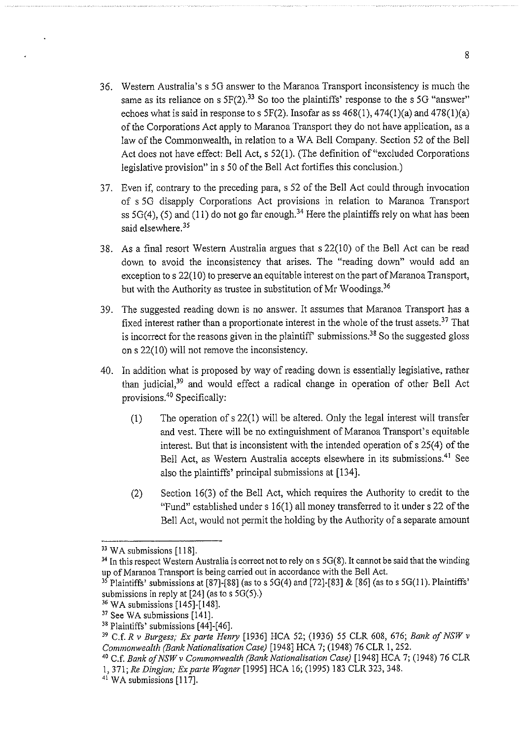- 36. Western Australia's s 50 answer to the Maranoa Transport inconsistency is much the same as its reliance on s  $5F(2)$ .<sup>33</sup> So too the plaintiffs' response to the s 5G "answer" echoes what is said in response to s 5F(2). Insofar as ss  $468(1)$ ,  $474(1)(a)$  and  $478(1)(a)$ of the Corporations Act apply to Maranoa Transport they do not have application, as a law of the Commonwealth, in relation to a WA Bell Company. Section 52 of the Bell Act does not have effect: Bell Act, s 52(1). (The definition of "excluded Corporations legislative provision" ins 50 of the Bell Act fortifies this conclusion.)
- 3 7. Even if, contrary to the preceding para, s 52 of the Bell Act could through invocation of s 50 disapply Corporations Act provisions in relation to Maranoa Transport ss 5G(4), (5) and (11) do not go far enough.<sup>34</sup> Here the plaintiffs rely on what has been said elsewhere.<sup>35</sup>
- 38. As a final resort Western Australia argues that s 22(10) of the Bell Act can be read down to avoid the inconsistency that arises. The "reading down" would add an exception to  $s$  22(10) to preserve an equitable interest on the part of Maranoa Transport, but with the Authority as trustee in substitution of Mr Woodings.<sup>36</sup>
- 39. The suggested reading down is no answer. It assumes that Maranoa Transport has a fixed interest rather than a proportionate interest in the whole of the trust assets.<sup>37</sup> That is incorrect for the reasons given in the plaintiff' submissions.<sup>38</sup> So the suggested gloss on s 22(10) will not remove the inconsistency.
- 40. In addition what is proposed by way of reading down is essentially legislative, rather than judicial, $39$  and would effect a radical change in operation of other Bell Act provisions.40 Specifically:
	- (1) The operation of s 22(1) will be altered. Only the legal interest will transfer and vest. There will be no extinguishment of Maranoa Transport's equitable interest. But that is inconsistent with the intended operation of s 25(4) of the Bell Act, as Western Australia accepts elsewhere in its submissions.<sup>41</sup> See also the plaintiffs' principal submissions at [134].
	- (2) Section 16(3) of the Bell Act, which requires the Authority to credit to the "Fund" established under  $s 16(1)$  all money transferred to it under  $s 22$  of the Bell Act, would not permit the holding by the Authority of a separate amount

 $33$  WA submissions [118].

<sup>&</sup>lt;sup>34</sup> In this respect Western Australia is correct not to rely on s 5G(8). It cannot be said that the winding up of Maranoa Transport is being carried out in accordance with the Bell Act.

<sup>&</sup>lt;sup>35</sup> Plaintiffs' submissions at [87]-[88] (as to s 5G(4) and [72]-[83] & [86] (as to s 5G(11). Plaintiffs' submissions in reply at  $[24]$  (as to s 5G(5).)

<sup>36</sup> WA submissions [145]-[148].

<sup>37</sup> See WA submissions [141].

<sup>38</sup> Plaintiffs' submissions [44]-[46].

<sup>39</sup> C.f. *R* v *Burgess; Ex parte Henry* [1936] HCA 52; (1936) 55 CLR 608, 676; *Bank of NSW* v *Commonwealth (Bank Nationalisation Case)* [1948] HCA 7; (1948) 76 CLR 1, 252.

<sup>4</sup>° C.f. *BankofNSWv Commonwealth (Bank Nationalisation Case)* [!948] HCA 7; (1948) 76 CLR 1, 371; *Re Dingjan; Ex parte Wagner* [1995] HCA 16; (1995) 183 CLR 323, 348.

<sup>&</sup>lt;sup>41</sup> WA submissions [117].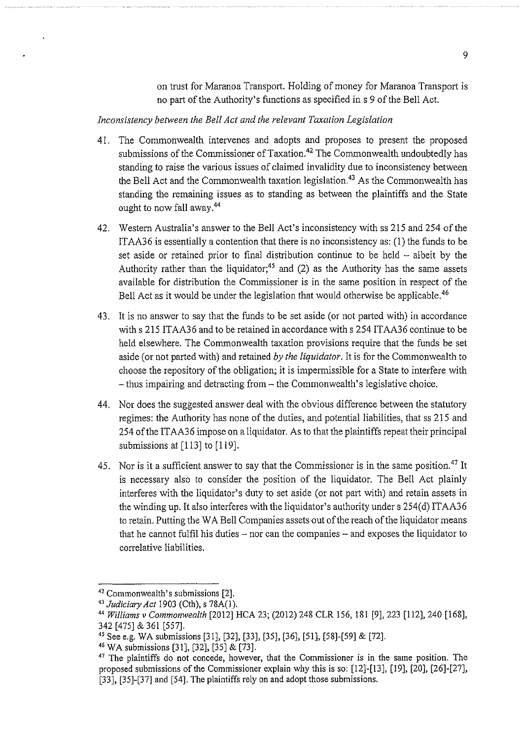on trust for Maranoa Transport. Holding of money for Maranoa Transport is no part of the Authority's functions as specified ins 9 of the Bell Act.

#### *Inconsistency between the Bell Act and the relevant Taxation Legislation*

- 41. The Commonwealth intervenes and adopts and proposes to present the proposed submissions of the Commissioner of Taxation.<sup>42</sup> The Commonwealth undoubtedly has standing to raise the various issues of claimed invalidity due to inconsistency between the Bell Act and the Commonwealth taxation legislation.<sup>43</sup> As the Commonwealth has standing the remaining issues as to standing as between the plaintiffs and the State ought to now fall away.<sup>44</sup>
- 42. Western Australia's answer to the Bell Act's inconsistency with ss 215 and 254 of the ITAA36 is essentially a contention that there is no inconsistency as: (1) the funds to be set aside or retained prior to final distribution continue to be held – albeit by the Authority rather than the liquidator;<sup>45</sup> and (2) as the Authority has the same assets available for distribution the Commissioner is in the same position in respect of the Bell Act as it would be under the legislation that would otherwise be applicable.<sup>46</sup>
- 43. It is no answer to say that the funds to be set aside (or not parted with) in accordance with s 215 ITAA36 and to be retained in accordance with s 254 ITAA36 continue to be held elsewhere. The Commonwealth taxation provisions require that the funds be set aside (or not parted with) and retained *by the liquidator.* It is for the Commonwealth to choose the repository of the obligation; it is impermissible for a State to interfere with -thus impairing and detracting from- the Commonwealth's legislative choice.
- 44. Nor does the suggested answer deal with the obvious difference between the statutory regimes: the Authority has none of the duties, and potential liabilities, that ss 215 and 254 of the ITAA36 impose on a liquidator. As to that the plaintiffs repeat their principal submissions at [113] to [119].
- 45. Nor is it a sufficient answer to say that the Commissioner is in the same position.<sup>47</sup> It is necessary also to consider the position of the liquidator. The Bell Act plainly interferes with the liquidator's duty to set aside (or not part with) and retain assets in the winding up. It also interferes with the liquidator's authority under s 254(d) ITAA36 to retain. Putting the WA Bell Companies assets out of the reach of the liquidator means that he cannot fulfil his duties  $-$  nor can the companies  $-$  and exposes the liquidator to correlative liabilities.

<sup>42</sup> Commonwealth's submissions [2]. 43 *Judiciary Act* 1903 (Cth), s 78A(l).

<sup>44</sup>*Williams* v *Commonwealth* [2012] HCA 23; (2012) 248 CLR !56, 181 [9], 223 [112], 240 [168], 342 [475] & 361 [557].

<sup>&</sup>lt;sup>45</sup> See e.g. WA submissions [31], [32], [33], [35], [36], [51], [58]-[59] & [72].<br><sup>46</sup> WA submissions [31], [32], [35] & [73].

<sup>&</sup>lt;sup>47</sup> The plaintiffs do not concede, however, that the Commissioner is in the same position. The proposed submissions of the Commissioner explain why this is so: [12]-[13], [19], [20], [26]-[27], [33], [35]-[37] and [54]. The plaintiffs rely on and adopt those submissions.